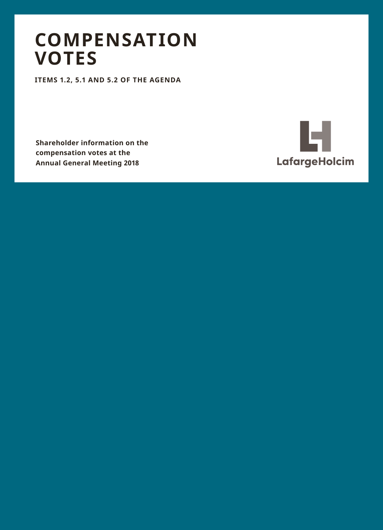## **COMPENSATION VOTES**

**ITEMS 1.2, 5.1 AND 5.2 OF THE AGENDA**

**Shareholder information on the compensation votes at the Annual General Meeting 2018**

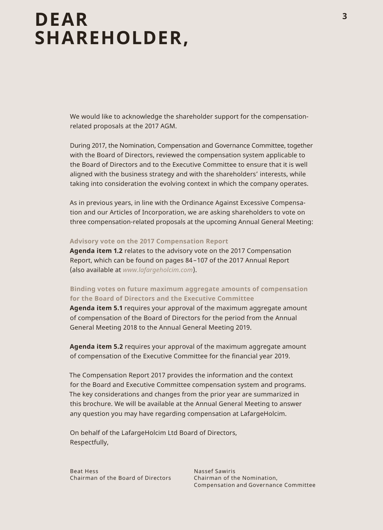## **DEAR SHAREHOLDER,**

We would like to acknowledge the shareholder support for the compensationrelated proposals at the 2017 AGM.

During 2017, the Nomination, Compensation and Governance Committee, together with the Board of Directors, reviewed the compensation system applicable to the Board of Directors and to the Executive Committee to ensure that it is well aligned with the business strategy and with the shareholders' interests, while taking into consideration the evolving context in which the company operates.

As in previous years, in line with the Ordinance Against Excessive Compensation and our Articles of Incorporation, we are asking shareholders to vote on three compensation-related proposals at the upcoming Annual General Meeting:

#### **Advisory vote on the 2017 Compensation Report**

**Agenda item 1.2** relates to the advisory vote on the 2017 Compensation Report, which can be found on pages 84 –107 of the 2017 Annual Report (also available at *www.lafargeholcim.com*).

#### **Binding votes on future maximum aggregate amounts of compensation for the Board of Directors and the Executive Committee**

**Agenda item 5.1** requires your approval of the maximum aggregate amount of compensation of the Board of Directors for the period from the Annual General Meeting 2018 to the Annual General Meeting 2019.

**Agenda item 5.2** requires your approval of the maximum aggregate amount of compensation of the Executive Committee for the financial year 2019.

The Compensation Report 2017 provides the information and the context for the Board and Executive Committee compensation system and programs. The key considerations and changes from the prior year are summarized in this brochure. We will be available at the Annual General Meeting to answer any question you may have regarding compensation at LafargeHolcim.

On behalf of the LafargeHolcim Ltd Board of Directors, Respectfully,

Beat Hess Chairman of the Board of Directors

Nassef Sawiris Chairman of the Nomination, Compensation and Governance Committee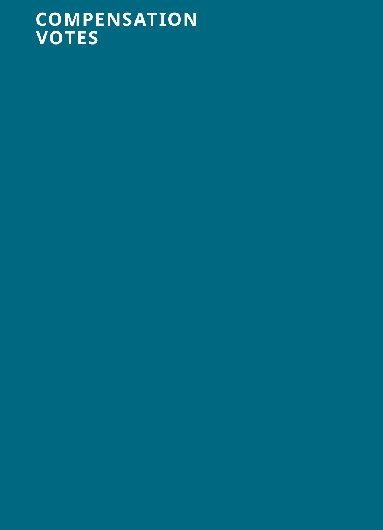# **COMPENSATION VOTES**

- 
- 
- 
- 
- 
- 
-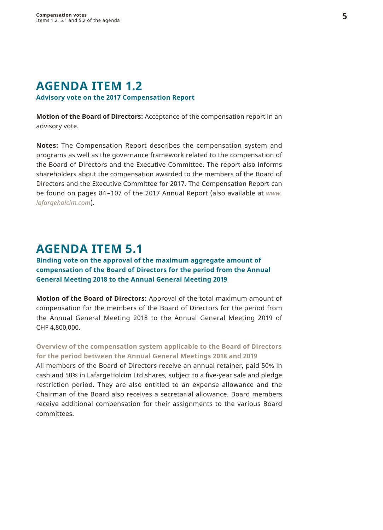## **AGENDA ITEM 1.2**

#### **Advisory vote on the 2017 Compensation Report**

**Motion of the Board of Directors:** Acceptance of the compensation report in an advisory vote.

**Notes:** The Compensation Report describes the compensation system and programs as well as the governance framework related to the compensation of the Board of Directors and the Executive Committee. The report also informs shareholders about the compensation awarded to the members of the Board of Directors and the Executive Committee for 2017. The Compensation Report can be found on pages 84 –107 of the 2017 Annual Report (also available at *www. lafargeholcim.com*).

### **AGENDA ITEM 5.1**

### **Binding vote on the approval of the maximum aggregate amount of compensation of the Board of Directors for the period from the Annual General Meeting 2018 to the Annual General Meeting 2019**

**Motion of the Board of Directors:** Approval of the total maximum amount of compensation for the members of the Board of Directors for the period from the Annual General Meeting 2018 to the Annual General Meeting 2019 of CHF 4,800,000.

### **Overview of the compensation system applicable to the Board of Directors for the period between the Annual General Meetings 2018 and 2019**

All members of the Board of Directors receive an annual retainer, paid 50% in cash and 50% in LafargeHolcim Ltd shares, subject to a five-year sale and pledge restriction period. They are also entitled to an expense allowance and the Chairman of the Board also receives a secretarial allowance. Board members receive additional compensation for their assignments to the various Board committees.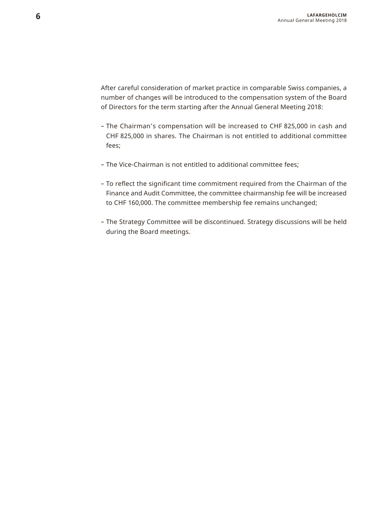After careful consideration of market practice in comparable Swiss companies, a number of changes will be introduced to the compensation system of the Board of Directors for the term starting after the Annual General Meeting 2018:

- The Chairman's compensation will be increased to CHF 825,000 in cash and CHF 825,000 in shares. The Chairman is not entitled to additional committee fees;
- The Vice-Chairman is not entitled to additional committee fees;
- To reflect the significant time commitment required from the Chairman of the Finance and Audit Committee, the committee chairmanship fee will be increased to CHF 160,000. The committee membership fee remains unchanged;
- The Strategy Committee will be discontinued. Strategy discussions will be held during the Board meetings.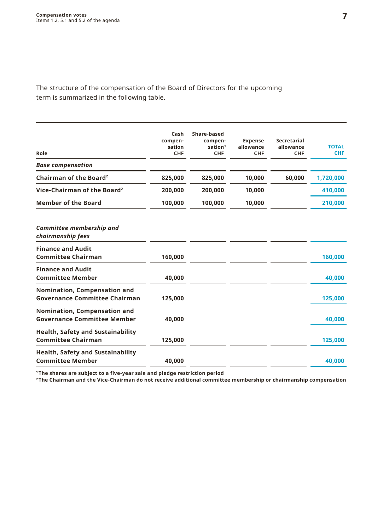The structure of the compensation of the Board of Directors for the upcoming term is summarized in the following table.

| Role                                                                  | Cash<br>compen-<br>sation<br>CHF | Share-based<br>compen-<br>sation <sup>1</sup><br>CHF | <b>Expense</b><br>allowance<br>CHF | Secretarial<br>allowance<br>CHF | <b>TOTAL</b><br><b>CHF</b> |
|-----------------------------------------------------------------------|----------------------------------|------------------------------------------------------|------------------------------------|---------------------------------|----------------------------|
| <b>Base compensation</b>                                              |                                  |                                                      |                                    |                                 |                            |
| Chairman of the Board <sup>2</sup>                                    | 825,000                          | 825,000                                              | 10,000                             | 60,000                          | 1,720,000                  |
| Vice-Chairman of the Board <sup>2</sup>                               | 200.000                          | 200,000                                              | 10,000                             |                                 | 410,000                    |
| <b>Member of the Board</b>                                            | 100,000                          | 100,000                                              | 10,000                             |                                 | 210,000                    |
| Committee membership and<br>chairmanship fees                         |                                  |                                                      |                                    |                                 |                            |
| <b>Finance and Audit</b><br><b>Committee Chairman</b>                 | 160,000                          |                                                      |                                    |                                 | 160,000                    |
| <b>Finance and Audit</b><br><b>Committee Member</b>                   | 40,000                           |                                                      |                                    |                                 | 40.000                     |
| Nomination, Compensation and<br><b>Governance Committee Chairman</b>  | 125,000                          |                                                      |                                    |                                 | 125,000                    |
| Nomination, Compensation and<br><b>Governance Committee Member</b>    | 40,000                           |                                                      |                                    |                                 | 40.000                     |
| <b>Health, Safety and Sustainability</b><br><b>Committee Chairman</b> | 125,000                          |                                                      |                                    |                                 | 125,000                    |
| <b>Health, Safety and Sustainability</b><br><b>Committee Member</b>   | 40.000                           |                                                      |                                    |                                 | 40.000                     |

**<sup>1</sup> The shares are subject to a five-year sale and pledge restriction period <sup>2</sup> The Chairman and the Vice-Chairman do not receive additional committee membership or chairmanship compensation**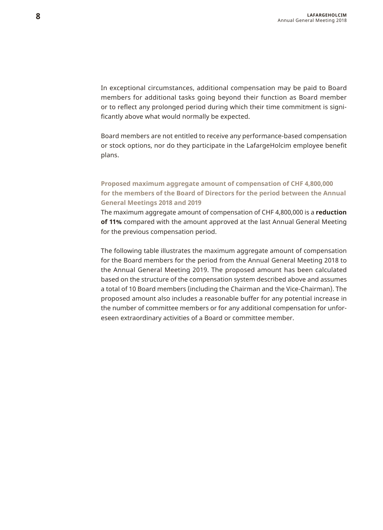In exceptional circumstances, additional compensation may be paid to Board members for additional tasks going beyond their function as Board member or to reflect any prolonged period during which their time commitment is significantly above what would normally be expected.

Board members are not entitled to receive any performance-based compensation or stock options, nor do they participate in the LafargeHolcim employee benefit plans.

#### **Proposed maximum aggregate amount of compensation of CHF 4,800,000 for the members of the Board of Directors for the period between the Annual General Meetings 2018 and 2019**

The maximum aggregate amount of compensation of CHF 4,800,000 is a **reduction of 11%** compared with the amount approved at the last Annual General Meeting for the previous compensation period.

The following table illustrates the maximum aggregate amount of compensation for the Board members for the period from the Annual General Meeting 2018 to the Annual General Meeting 2019. The proposed amount has been calculated based on the structure of the compensation system described above and assumes a total of 10 Board members (including the Chairman and the Vice-Chairman). The proposed amount also includes a reasonable buffer for any potential increase in the number of committee members or for any additional compensation for unforeseen extraordinary activities of a Board or committee member.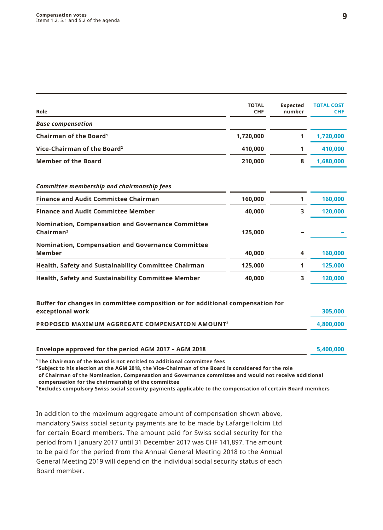| Role                                                                                               | <b>TOTAL</b><br>CHF | <b>Expected</b><br>number | <b>TOTAL COST</b><br><b>CHF</b> |
|----------------------------------------------------------------------------------------------------|---------------------|---------------------------|---------------------------------|
| <b>Base compensation</b>                                                                           |                     |                           |                                 |
| Chairman of the Board <sup>1</sup>                                                                 | 1,720,000           | 1                         | 1,720,000                       |
| Vice-Chairman of the Board <sup>2</sup>                                                            | 410,000             | 1                         | 410,000                         |
| <b>Member of the Board</b>                                                                         | 210,000             | 8                         | 1,680,000                       |
| <b>Committee membership and chairmanship fees</b>                                                  |                     |                           |                                 |
| <b>Finance and Audit Committee Chairman</b>                                                        | 160,000             | 1                         | 160,000                         |
| <b>Finance and Audit Committee Member</b>                                                          | 40,000              | 3                         | 120,000                         |
| Nomination, Compensation and Governance Committee<br>Chairman <sup>2</sup>                         | 125,000             |                           |                                 |
| Nomination, Compensation and Governance Committee<br>Member                                        | 40,000              | 4                         | 160,000                         |
| <b>Health, Safety and Sustainability Committee Chairman</b>                                        | 125,000             | 1                         | 125,000                         |
| <b>Health, Safety and Sustainability Committee Member</b>                                          | 40,000              | 3                         | 120,000                         |
| Buffer for changes in committee composition or for additional compensation for<br>exceptional work |                     |                           | 305,000                         |
| PROPOSED MAXIMUM AGGREGATE COMPENSATION AMOUNT <sup>3</sup>                                        |                     |                           | 4,800,000                       |
| Envelope approved for the period AGM 2017 - AGM 2018                                               |                     |                           | 5,400,000                       |

**1  The Chairman of the Board is not entitled to additional committee fees**

**2  Subject to his election at the AGM 2018, the Vice-Chairman of the Board is considered for the role** 

**of Chairman of the Nomination, Compensation and Governance committee and would not receive additional compensation for the chairmanship of the committee**

**3  Excludes compulsory Swiss social security payments applicable to the compensation of certain Board members** 

In addition to the maximum aggregate amount of compensation shown above, mandatory Swiss social security payments are to be made by LafargeHolcim Ltd for certain Board members. The amount paid for Swiss social security for the period from 1 January 2017 until 31 December 2017 was CHF 141,897. The amount to be paid for the period from the Annual General Meeting 2018 to the Annual General Meeting 2019 will depend on the individual social security status of each Board member.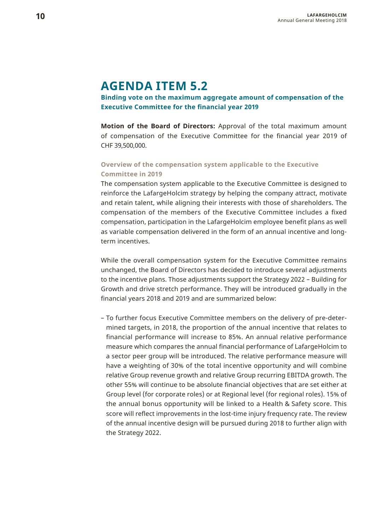### **AGENDA ITEM 5.2**

**Binding vote on the maximum aggregate amount of compensation of the Executive Committee for the financial year 2019** 

**Motion of the Board of Directors:** Approval of the total maximum amount of compensation of the Executive Committee for the financial year 2019 of CHF 39,500,000.

#### **Overview of the compensation system applicable to the Executive Committee in 2019**

The compensation system applicable to the Executive Committee is designed to reinforce the LafargeHolcim strategy by helping the company attract, motivate and retain talent, while aligning their interests with those of shareholders. The compensation of the members of the Executive Committee includes a fixed compensation, participation in the LafargeHolcim employee benefit plans as well as variable compensation delivered in the form of an annual incentive and longterm incentives.

While the overall compensation system for the Executive Committee remains unchanged, the Board of Directors has decided to introduce several adjustments to the incentive plans. Those adjustments support the Strategy 2022 – Building for Growth and drive stretch performance. They will be introduced gradually in the financial years 2018 and 2019 and are summarized below:

– To further focus Executive Committee members on the delivery of pre-determined targets, in 2018, the proportion of the annual incentive that relates to financial performance will increase to 85%. An annual relative performance measure which compares the annual financial performance of LafargeHolcim to a sector peer group will be introduced. The relative performance measure will have a weighting of 30% of the total incentive opportunity and will combine relative Group revenue growth and relative Group recurring EBITDA growth. The other 55% will continue to be absolute financial objectives that are set either at Group level (for corporate roles) or at Regional level (for regional roles). 15% of the annual bonus opportunity will be linked to a Health & Safety score. This score will reflect improvements in the lost-time injury frequency rate. The review of the annual incentive design will be pursued during 2018 to further align with the Strategy 2022.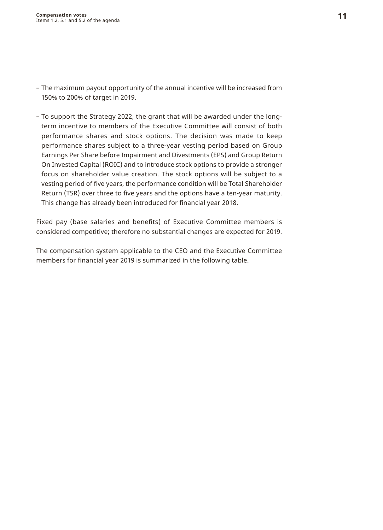- The maximum payout opportunity of the annual incentive will be increased from 150% to 200% of target in 2019.
- To support the Strategy 2022, the grant that will be awarded under the longterm incentive to members of the Executive Committee will consist of both performance shares and stock options. The decision was made to keep performance shares subject to a three-year vesting period based on Group Earnings Per Share before Impairment and Divestments (EPS) and Group Return On Invested Capital (ROIC) and to introduce stock options to provide a stronger focus on shareholder value creation. The stock options will be subject to a vesting period of five years, the performance condition will be Total Shareholder Return (TSR) over three to five years and the options have a ten-year maturity. This change has already been introduced for financial year 2018.

Fixed pay (base salaries and benefits) of Executive Committee members is considered competitive; therefore no substantial changes are expected for 2019.

The compensation system applicable to the CEO and the Executive Committee members for financial year 2019 is summarized in the following table.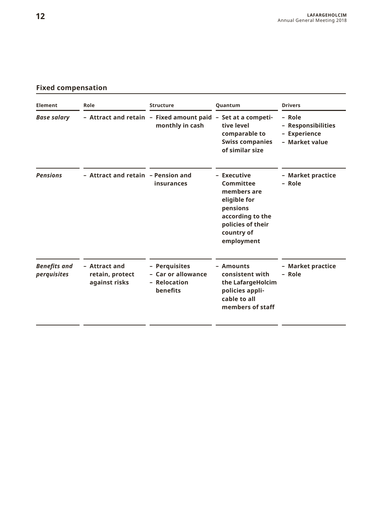### **Fixed compensation**

| Element                            | Role                                              | <b>Structure</b>                                                                | <b>Ouantum</b>                                                                                                                           | <b>Drivers</b>                                                 |  |
|------------------------------------|---------------------------------------------------|---------------------------------------------------------------------------------|------------------------------------------------------------------------------------------------------------------------------------------|----------------------------------------------------------------|--|
| <b>Base salary</b>                 |                                                   | - Attract and retain - Fixed amount paid - Set at a competi-<br>monthly in cash | tive level<br>comparable to<br>Swiss companies<br>of similar size                                                                        | - Role<br>- Responsibilities<br>- Experience<br>- Market value |  |
| <b>Pensions</b>                    | - Attract and retain - Pension and                | insurances                                                                      | - Executive<br>Committee<br>members are<br>eligible for<br>pensions<br>according to the<br>policies of their<br>country of<br>employment | - Market practice<br>- Role                                    |  |
| <b>Benefits</b> and<br>perquisites | - Attract and<br>retain, protect<br>against risks | - Perquisites<br>- Car or allowance<br>- Relocation<br>benefits                 | - Amounts<br>consistent with<br>the LafargeHolcim<br>policies appli-<br>cable to all<br>members of staff                                 | - Market practice<br>- Role                                    |  |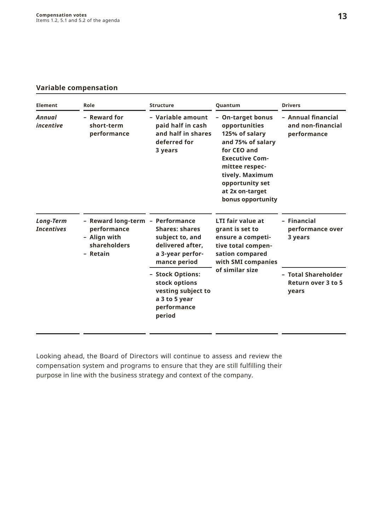#### **Variable compensation**

| Element                        | Role                                                                                        | <b>Structure</b>                                                                                  | Ouantum                                                                                                                                                                                                           | <b>Drivers</b><br>- Annual financial<br>and non-financial<br>performance |  |
|--------------------------------|---------------------------------------------------------------------------------------------|---------------------------------------------------------------------------------------------------|-------------------------------------------------------------------------------------------------------------------------------------------------------------------------------------------------------------------|--------------------------------------------------------------------------|--|
| Annual<br>incentive            | - Reward for<br>short-term<br>performance                                                   | - Variable amount<br>paid half in cash<br>and half in shares<br>deferred for<br>3 years           | - On-target bonus<br>opportunities<br>125% of salary<br>and 75% of salary<br>for CEO and<br><b>Executive Com-</b><br>mittee respec-<br>tively. Maximum<br>opportunity set<br>at 2x on-target<br>bonus opportunity |                                                                          |  |
| Long-Term<br><b>Incentives</b> | - Reward long-term - Performance<br>performance<br>- Align with<br>shareholders<br>- Retain | <b>Shares: shares</b><br>subject to, and<br>delivered after.<br>a 3-year perfor-<br>mance period  | <b>LTI fair value at</b><br>grant is set to<br>ensure a competi-<br>tive total compen-<br>sation compared<br>with SMI companies                                                                                   |                                                                          |  |
|                                |                                                                                             | - Stock Options:<br>stock options<br>vesting subject to<br>a 3 to 5 year<br>performance<br>period | of similar size                                                                                                                                                                                                   | - Total Shareholder<br>Return over 3 to 5<br>years                       |  |

Looking ahead, the Board of Directors will continue to assess and review the compensation system and programs to ensure that they are still fulfilling their purpose in line with the business strategy and context of the company.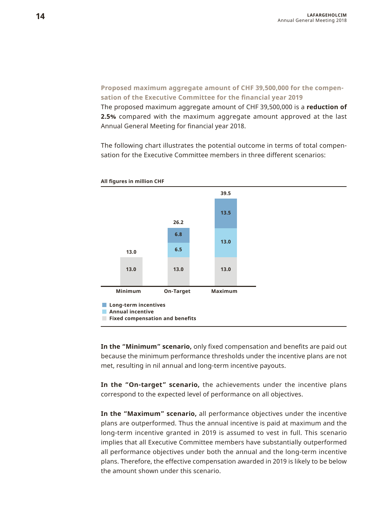**Proposed maximum aggregate amount of CHF 39,500,000 for the compensation of the Executive Committee for the financial year 2019**

The proposed maximum aggregate amount of CHF 39,500,000 is a **reduction of 2.5%** compared with the maximum aggregate amount approved at the last Annual General Meeting for financial year 2018.

The following chart illustrates the potential outcome in terms of total compensation for the Executive Committee members in three different scenarios:



**All figures in million CHF**

**In the "Minimum" scenario,** only fixed compensation and benefits are paid out because the minimum performance thresholds under the incentive plans are not met, resulting in nil annual and long-term incentive payouts.

**In the "On-target" scenario,** the achievements under the incentive plans correspond to the expected level of performance on all objectives.

**In the "Maximum" scenario,** all performance objectives under the incentive plans are outperformed. Thus the annual incentive is paid at maximum and the long-term incentive granted in 2019 is assumed to vest in full. This scenario implies that all Executive Committee members have substantially outperformed all performance objectives under both the annual and the long-term incentive plans. Therefore, the effective compensation awarded in 2019 is likely to be below the amount shown under this scenario.